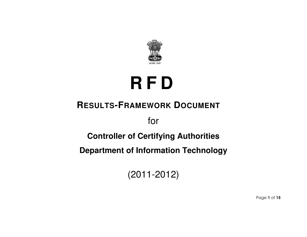

# **R F D**

# **RESULTS-FRAMEWORK DOCUMENT**

for

## **Controller of Certifying Authorities**

**Department of Information Technology** 

(2011-2012)

Page 1 of 15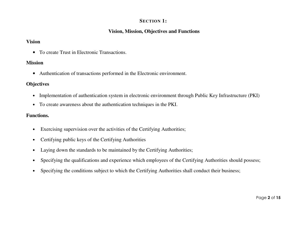#### **SECTION 1:**

#### **Vision, Mission, Objectives and Functions**

#### **Vision**

• To create Trust in Electronic Transactions.

#### **Mission**

• Authentication of transactions performed in the Electronic environment.

#### **Objectives**

- Implementation of authentication system in electronic environment through Public Key Infrastructure (PKI)
- To create awareness about the authentication techniques in the PKI.

#### **Functions.**

- Exercising supervision over the activities of the Certifying Authorities;
- Certifying public keys of the Certifying Authorities
- Laying down the standards to be maintained by the Certifying Authorities;
- Specifying the qualifications and experience which employees of the Certifying Authorities should possess;
- Specifying the conditions subject to which the Certifying Authorities shall conduct their business;

Page 2 of 15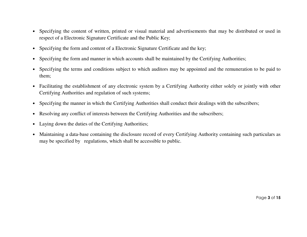- Specifying the content of written, printed or visual material and advertisements that may be distributed or used in respect of a Electronic Signature Certificate and the Public Key;
- Specifying the form and content of a Electronic Signature Certificate and the key;
- Specifying the form and manner in which accounts shall be maintained by the Certifying Authorities;
- Specifying the terms and conditions subject to which auditors may be appointed and the remuneration to be paid to them;
- Facilitating the establishment of any electronic system by a Certifying Authority either solely or jointly with other Certifying Authorities and regulation of such systems;
- Specifying the manner in which the Certifying Authorities shall conduct their dealings with the subscribers;
- Resolving any conflict of interests between the Certifying Authorities and the subscribers;
- Laying down the duties of the Certifying Authorities;
- Maintaining a data-base containing the disclosure record of every Certifying Authority containing such particulars as may be specified by regulations, which shall be accessible to public.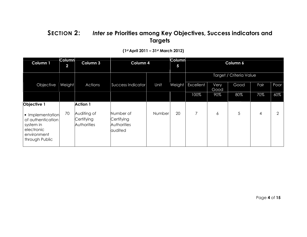#### SECTION 2: Inter se Priorities among Key Objectives, Success indicators and **Targets**

| Column 1                                                                                          | <b>Column</b><br>$\overline{2}$ | Column 3                                 | Column 4                                                 |        | <b>Column</b><br>$\overline{\mathbf{5}}$ | Column 6       |              |                         |      |      |
|---------------------------------------------------------------------------------------------------|---------------------------------|------------------------------------------|----------------------------------------------------------|--------|------------------------------------------|----------------|--------------|-------------------------|------|------|
|                                                                                                   |                                 |                                          |                                                          |        |                                          |                |              | Target / Criteria Value |      |      |
| Objective                                                                                         | Weight                          | Actions                                  | Success Indicator                                        | Unit   | Weight                                   | Excellent      | Very<br>Good | Good                    | Fair | Poor |
|                                                                                                   |                                 |                                          |                                                          |        |                                          | 100%           | 90%          | 80%                     | 70%  | 60%  |
| Objective 1                                                                                       |                                 | <b>Action 1</b>                          |                                                          |        |                                          |                |              |                         |      |      |
| • Implementation<br>of authentication<br>system in<br>electronic<br>environment<br>through Public | 70                              | Auditing of<br>Certifying<br>Authorities | Number of<br>Certifying<br><b>Authorities</b><br>audited | Number | 20                                       | $\overline{7}$ | 6            | 5                       | 4    | ⌒    |

#### (1st April 2011 – 31st March 2012)

Page 4 of 15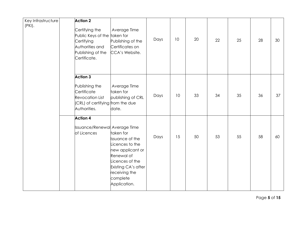| Key Infrastructure<br>(PKI). | <b>Action 2</b><br>Certifying the<br>Public Keys of the taken for<br>Certifying<br>Authorities and<br>Publishing of the<br>Certificate. | Average Time<br>Publishing of the<br>Certificates on<br>CCA's Website.                                                                                                          | Days | 10 | 20 | 22 | 25 | 28 | 30 |
|------------------------------|-----------------------------------------------------------------------------------------------------------------------------------------|---------------------------------------------------------------------------------------------------------------------------------------------------------------------------------|------|----|----|----|----|----|----|
|                              | <b>Action 3</b><br>Publishing the<br>Certificate<br><b>Revocation List</b><br>(CRL) of certifying from the due<br>Authorities.          | Average Time<br>taken for<br>publishing of CRL<br>date.                                                                                                                         | Days | 10 | 33 | 34 | 35 | 36 | 37 |
|                              | <b>Action 4</b><br><b>Issuance/Renewal Average Time</b><br>of Licences                                                                  | taken for<br><b>Issuance of the</b><br>Licences to the<br>new applicant or<br>Renewal of<br>Licences of the<br>Existing CA's after<br>receiving the<br>complete<br>Application. | Days | 15 | 50 | 53 | 55 | 58 | 60 |

Page 5 of 15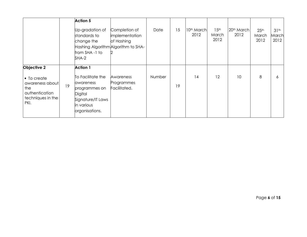|                                                                                                     |    | <b>Action 5</b><br>Up-gradation of<br>standards to<br>change the                                                                          | Completion of<br>implementation<br>of Hashing | Date   | 15 | 10 <sup>th</sup> March<br>2012 | 15 <sup>th</sup><br>March<br>2012 | 20th March<br>2012 | 25 <sup>th</sup><br>March<br>2012 | 31 <sup>th</sup><br>March<br>2012 |
|-----------------------------------------------------------------------------------------------------|----|-------------------------------------------------------------------------------------------------------------------------------------------|-----------------------------------------------|--------|----|--------------------------------|-----------------------------------|--------------------|-----------------------------------|-----------------------------------|
|                                                                                                     |    | Hashing Algorithm Algorithm to SHA-<br>from SHA-1 to<br>$SHA-2$                                                                           | 2                                             |        |    |                                |                                   |                    |                                   |                                   |
| Objective 2<br>• To create<br>awareness about<br>the<br>authentication<br>techniques in the<br>PKI. | 19 | <b>Action 1</b><br>To Facilitate the<br>awareness<br>programmes on<br><b>Digital</b><br>Signature/IT Laws<br>in various<br>organisations. | Awareness<br>Programmes<br>Facilitated.       | Number | 19 | 14                             | 12                                | 10                 | 8                                 | 6                                 |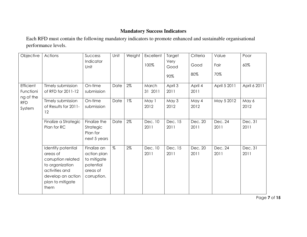#### **Mandatory Success Indicators**

Each RFD must contain the following mandatory indicators to promote enhanced and sustainable organisational performance levels.

| Objective              | Actions                                                                                                                                    | Success                                                                           | Unit | Weight | Excellent       | Target          | Criteria        | Value           | Poor            |
|------------------------|--------------------------------------------------------------------------------------------------------------------------------------------|-----------------------------------------------------------------------------------|------|--------|-----------------|-----------------|-----------------|-----------------|-----------------|
|                        |                                                                                                                                            | Indicator<br>Unit                                                                 |      |        | 100%            | Very<br>Good    | Good            | Fair            | 60%             |
|                        |                                                                                                                                            |                                                                                   |      |        |                 | 90%             | 80%             | 70%             |                 |
| <b>Efficient</b>       | Timely submission                                                                                                                          | On-time                                                                           | Date | $2\%$  | March           | April 3         | April 4         | April 5 2011    | April 6 2011    |
| Functioni<br>ng of the | of RFD for 2011-12                                                                                                                         | submission                                                                        |      |        | 31 2011         | 2011            | 2011            |                 |                 |
| <b>RFD</b><br>System   | Timely submission<br>of Results for 2011-<br>12                                                                                            | On-time<br>submission                                                             | Date | $1\%$  | May 1<br>2012   | May 3<br>2012   | May 4<br>2012   | May 5 2012      | May 6<br>2012   |
|                        | Finalize a Strategic<br>Plan for RC                                                                                                        | Finalize the<br>Strategic<br>Plan for<br>next 5 years                             | Date | $2\%$  | Dec. 10<br>2011 | Dec. 15<br>2011 | Dec. 20<br>2011 | Dec. 24<br>2011 | Dec. 31<br>2011 |
|                        | Identify potential<br>areas of<br>corruption related<br>to organization<br>activities and<br>develop an action<br>plan to mitigate<br>them | Finalize an<br>action plan<br>to mitigate<br>potential<br>areas of<br>corruption. | %    | 2%     | Dec. 10<br>2011 | Dec. 15<br>2011 | Dec. 20<br>2011 | Dec. 24<br>2011 | Dec. 31<br>2011 |

Page 7 of 15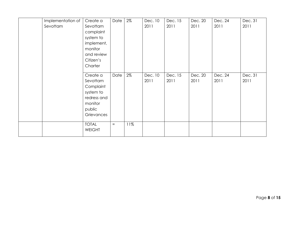| Implementation of | Create a      | Date | $2\%$ | Dec. 10 | Dec. 15 | Dec. 20 | Dec. 24 | Dec. 31 |
|-------------------|---------------|------|-------|---------|---------|---------|---------|---------|
| Sevottam          | Sevottam      |      |       | 2011    | 2011    | 2011    | 2011    | 2011    |
|                   | complaint     |      |       |         |         |         |         |         |
|                   | system to     |      |       |         |         |         |         |         |
|                   | implement,    |      |       |         |         |         |         |         |
|                   | monitor       |      |       |         |         |         |         |         |
|                   | and review    |      |       |         |         |         |         |         |
|                   | Citizen's     |      |       |         |         |         |         |         |
|                   | Charter       |      |       |         |         |         |         |         |
|                   |               |      |       |         |         |         |         |         |
|                   | Create a      | Date | $2\%$ | Dec. 10 | Dec. 15 | Dec. 20 | Dec. 24 | Dec. 31 |
|                   | Sevottam      |      |       | 2011    | 2011    | 2011    | 2011    | 2011    |
|                   | Complaint     |      |       |         |         |         |         |         |
|                   | system to     |      |       |         |         |         |         |         |
|                   | redress and   |      |       |         |         |         |         |         |
|                   | monitor       |      |       |         |         |         |         |         |
|                   | public        |      |       |         |         |         |         |         |
|                   | Grievances    |      |       |         |         |         |         |         |
|                   |               |      |       |         |         |         |         |         |
|                   | <b>TOTAL</b>  | $=$  | 11%   |         |         |         |         |         |
|                   | <b>WEIGHT</b> |      |       |         |         |         |         |         |
|                   |               |      |       |         |         |         |         |         |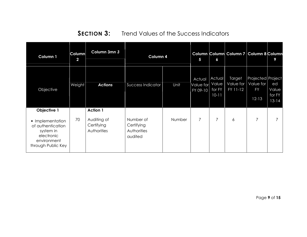**SECTION 3:** Trend Values of the Success Indicators

| Column 1                                                                                                             | Column<br>$\overline{\mathbf{2}}$ | Column 3mn 3                                                | Column 4                                          | 5      | 6                                     | Column Column Column 7 Column 8 Column |                                 | 9                                    |                     |
|----------------------------------------------------------------------------------------------------------------------|-----------------------------------|-------------------------------------------------------------|---------------------------------------------------|--------|---------------------------------------|----------------------------------------|---------------------------------|--------------------------------------|---------------------|
| Objective                                                                                                            | Weight                            | <b>Actions</b>                                              | Success Indicator                                 | Unit   | Actual<br>Value for Value<br>FY 09-10 | <b>Actual</b><br>for FY                | Target<br>Value for<br>FY 11-12 | Projected Project<br>Value for<br>FY | ed<br>Value         |
|                                                                                                                      |                                   |                                                             |                                                   |        |                                       | $10-11$                                |                                 | $12 - 13$                            | for FY<br>$13 - 14$ |
| Objective 1<br>• Implementation<br>of authentication<br>system in<br>electronic<br>environment<br>through Public Key | 70                                | <b>Action 1</b><br>Auditing of<br>Certifying<br>Authorities | Number of<br>Certifying<br>Authorities<br>audited | Number | 7                                     | 7                                      | 6                               | 7                                    |                     |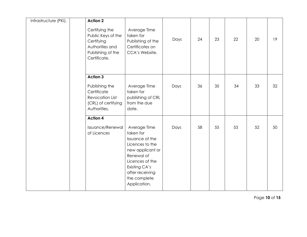| Infrastructure (PKI). | <b>Action 2</b>                                                                                            |                                                                                                                                                                                          |      |    |    |    |    |    |
|-----------------------|------------------------------------------------------------------------------------------------------------|------------------------------------------------------------------------------------------------------------------------------------------------------------------------------------------|------|----|----|----|----|----|
|                       | Certifying the<br>Public Keys of the<br>Certifying<br>Authorities and<br>Publishing of the<br>Certificate. | Average Time<br>taken for<br>Publishing of the<br>Certificates on<br>CCA's Website.                                                                                                      | Days | 24 | 23 | 22 | 20 | 19 |
|                       | <b>Action 3</b>                                                                                            |                                                                                                                                                                                          |      |    |    |    |    |    |
|                       | Publishing the<br>Certificate<br><b>Revocation List</b><br>(CRL) of certifying<br>Authorities.             | Average Time<br>taken for<br>publishing of CRL<br>from the due<br>date.                                                                                                                  | Days | 36 | 35 | 34 | 33 | 32 |
|                       | <b>Action 4</b>                                                                                            |                                                                                                                                                                                          |      |    |    |    |    |    |
|                       | Issuance/Renewal<br>of Licences                                                                            | Average Time<br>taken for<br>Issuance of the<br>Licences to the<br>new applicant or<br>Renewal of<br>Licences of the<br>Existing CA's<br>after receiving<br>the complete<br>Application. | Days | 58 | 55 | 53 | 52 | 50 |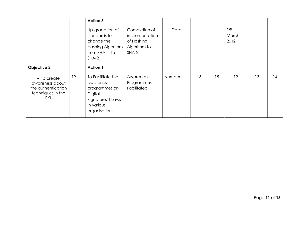|                                                                                                  |    | <b>Action 5</b><br>Up-gradation of<br>standards to<br>change the<br>Hashing Algorithm<br>from SHA-1 to<br>SHA-2                    | Completion of<br>implementation<br>of Hashing<br>Algorithm to<br>$SHA-2$ | Date   | $\overline{\phantom{0}}$ |    | 15 <sup>th</sup><br>March<br>2012 |    |    |
|--------------------------------------------------------------------------------------------------|----|------------------------------------------------------------------------------------------------------------------------------------|--------------------------------------------------------------------------|--------|--------------------------|----|-----------------------------------|----|----|
| Objective 2<br>• To create<br>awareness about<br>the authentication<br>techniques in the<br>PKI. | 19 | <b>Action 1</b><br>To Facilitate the<br>awareness<br>programmes on<br>Digital<br>Signature/IT Laws<br>in various<br>organisations. | Awareness<br>Programmes<br>Facilitated.                                  | Number | 13                       | 15 | 12                                | 13 | 14 |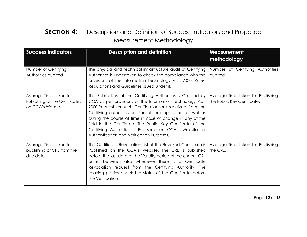#### **SECTION 4:** Description and Definition of Success Indicators and Proposed Measurement Methodology

| <b>Success indicators</b>                                                     | <b>Description and definition</b>                                                                                                                                                                                                                                                                                                                                                                                                                                                             | <b>Measurement</b><br>methodology                                |
|-------------------------------------------------------------------------------|-----------------------------------------------------------------------------------------------------------------------------------------------------------------------------------------------------------------------------------------------------------------------------------------------------------------------------------------------------------------------------------------------------------------------------------------------------------------------------------------------|------------------------------------------------------------------|
| Number of Certifying<br>Authorities audited                                   | The physical and technical infrastructure audit of Certifying<br>Authorities is undertaken to check the compliance with the<br>provisions of the Information Technology Act, 2000, Rules,<br>Regulations and Guidelines issued under it.                                                                                                                                                                                                                                                      | Number of Certifying Authorities<br>audited.                     |
| Average Time taken for<br>Publishing of the Certificates<br>on CCA's Website. | The Public Key of the Certifying Authorities is Certified by<br>CCA as per provisions of the Information Technology Act,<br>2000. Request for such Certification are received from the<br>Certifying authorities on start of their operations as well as<br>during the course of time in case of change in any of the<br>field in the Certificate. The Public Key Certificate of the<br>Certifying Authorities is Published on CCA's Website for<br>Authentication and Verification Purposes. | Average Time taken for Publishing<br>the Public Key Certificate. |
| Average Time taken for<br>publishing of CRL from the<br>due date.             | The Certificate Revocation List of the Revoked Certificate is<br>Published on the CCA's Website. The CRL is published<br>before the last date of the Validity period of the current CRL<br>or in between also whenever there is a Certificate<br>Revocation request from the Certifying Authority. The<br>relaying parties check the status of the Certificate before<br>the Verification.                                                                                                    | Average Time taken for Publishing<br>the CRL.                    |

Page 12 of 15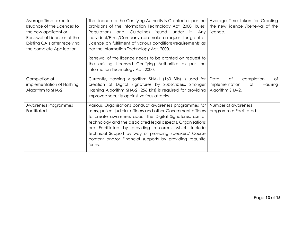| Average Time taken for<br>Issuance of the Licences to<br>the new applicant or<br>Renewal of Licences of the<br>Existing CA's after receiving<br>the complete Application. | The Licence to the Certifying Authority is Granted as per the<br>provisions of the Information Technology Act, 2000, Rules,<br>Regulations and Guidelines issued<br>under it. Any<br>individual/Firms/Company can make a request for grant of<br>Licence on fulfilment of various conditions/requirements as<br>per the Information Technology Act, 2000.                                                                                  | Average Time taken for Granting<br>the new licence /Renewal of the<br>licence.        |
|---------------------------------------------------------------------------------------------------------------------------------------------------------------------------|--------------------------------------------------------------------------------------------------------------------------------------------------------------------------------------------------------------------------------------------------------------------------------------------------------------------------------------------------------------------------------------------------------------------------------------------|---------------------------------------------------------------------------------------|
|                                                                                                                                                                           | Renewal of the licence needs to be granted on request to<br>the existing Licensed Certifying Authorities as per the<br>Information Technology Act, 2000.                                                                                                                                                                                                                                                                                   |                                                                                       |
| Completion of<br>implementation of Hashing<br>Algorithm to SHA-2                                                                                                          | Currently, Hashing Algorithm SHA-1 (160 Bits) is used for<br>creation of Digital Signatures by Subscribers. Stronger<br>Hashing Algorithm SHA-2 (256 Bits) is required for providing<br>improved security against various attacks.                                                                                                                                                                                                         | Date<br>of<br>completion<br>of<br>implementation<br>Оf<br>Hashing<br>Algorithm SHA-2. |
| Awareness Programmes<br>Facilitated.                                                                                                                                      | Various Organisations conduct awareness programmes for<br>users, police, judicial officers and other Government officers<br>to create awareness about the Digital Signatures, use of<br>technology and the associated legal aspects. Organisations<br>are Facilitated by providing resources which include<br>technical Support by way of providing Speakers/ Course<br>content and/or Financial supports by providing requisite<br>funds. | Number of awareness<br>programmes Facilitated.                                        |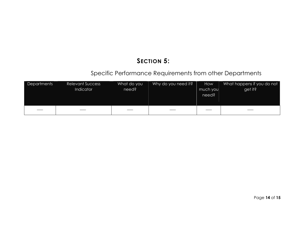### SECTION 5:

#### Specific Performance Requirements from other Departments

| Departments | <b>Relevant Success</b><br>Indicator | What do you<br>need? | Why do you need it? | How<br>much you<br>need? <sup>1</sup> | What happens if you do not<br>get it? |
|-------------|--------------------------------------|----------------------|---------------------|---------------------------------------|---------------------------------------|
| ____        |                                      |                      |                     |                                       |                                       |

Page 14 of 15